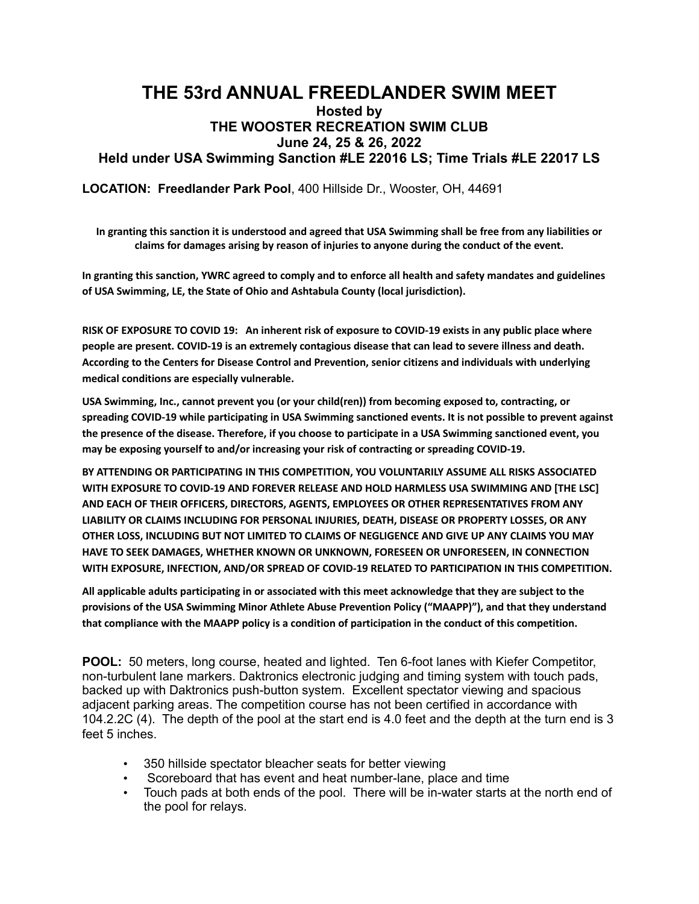## **THE 53rd ANNUAL FREEDLANDER SWIM MEET Hosted by THE WOOSTER RECREATION SWIM CLUB June 24, 25 & 26, 2022 Held under USA Swimming Sanction #LE 22016 LS; Time Trials #LE 22017 LS**

**LOCATION: Freedlander Park Pool**, 400 Hillside Dr., Wooster, OH, 44691

In granting this sanction it is understood and agreed that USA Swimming shall be free from any liabilities or **claims for damages arising by reason of injuries to anyone during the conduct of the event.**

In granting this sanction, YWRC agreed to comply and to enforce all health and safety mandates and guidelines **of USA Swimming, LE, the State of Ohio and Ashtabula County (local jurisdiction).**

RISK OF EXPOSURE TO COVID 19: An inherent risk of exposure to COVID-19 exists in any public place where people are present. COVID-19 is an extremely contagious disease that can lead to severe illness and death. **According to the Centers for Disease Control and Prevention, senior citizens and individuals with underlying medical conditions are especially vulnerable.**

**USA Swimming, Inc., cannot prevent you (or your child(ren)) from becoming exposed to, contracting, or spreading COVID-19 while participating in USA Swimming sanctioned events. It is not possible to prevent against** the presence of the disease. Therefore, if you choose to participate in a USA Swimming sanctioned event, you **may be exposing yourself to and/or increasing your risk of contracting or spreading COVID-19.**

**BY ATTENDING OR PARTICIPATING IN THIS COMPETITION, YOU VOLUNTARILY ASSUME ALL RISKS ASSOCIATED WITH EXPOSURE TO COVID-19 AND FOREVER RELEASE AND HOLD HARMLESS USA SWIMMING AND [THE LSC] AND EACH OF THEIR OFFICERS, DIRECTORS, AGENTS, EMPLOYEES OR OTHER REPRESENTATIVES FROM ANY LIABILITY OR CLAIMS INCLUDING FOR PERSONAL INJURIES, DEATH, DISEASE OR PROPERTY LOSSES, OR ANY OTHER LOSS, INCLUDING BUT NOT LIMITED TO CLAIMS OF NEGLIGENCE AND GIVE UP ANY CLAIMS YOU MAY HAVE TO SEEK DAMAGES, WHETHER KNOWN OR UNKNOWN, FORESEEN OR UNFORESEEN, IN CONNECTION WITH EXPOSURE, INFECTION, AND/OR SPREAD OF COVID-19 RELATED TO PARTICIPATION IN THIS COMPETITION.**

All applicable adults participating in or associated with this meet acknowledge that they are subject to the **provisions of the USA Swimming Minor Athlete Abuse Prevention Policy ("MAAPP)"), and that they understand that compliance with the MAAPP policy is a condition of participation in the conduct of this competition.**

**POOL:** 50 meters, long course, heated and lighted. Ten 6-foot lanes with Kiefer Competitor, non-turbulent lane markers. Daktronics electronic judging and timing system with touch pads, backed up with Daktronics push-button system. Excellent spectator viewing and spacious adjacent parking areas. The competition course has not been certified in accordance with 104.2.2C (4). The depth of the pool at the start end is 4.0 feet and the depth at the turn end is 3 feet 5 inches.

- 350 hillside spectator bleacher seats for better viewing
- Scoreboard that has event and heat number-lane, place and time
- Touch pads at both ends of the pool. There will be in-water starts at the north end of the pool for relays.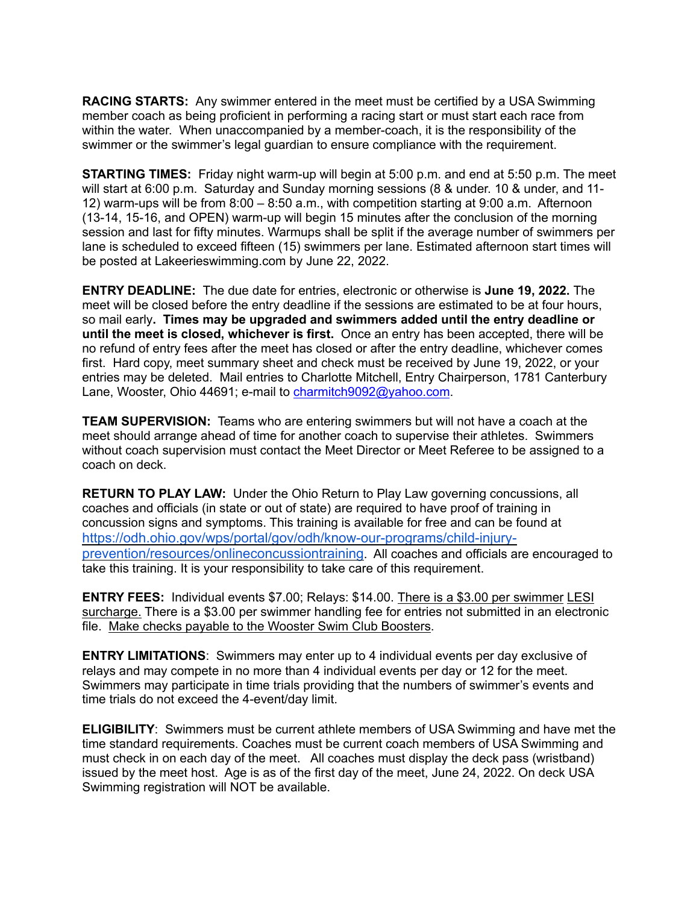**RACING STARTS:** Any swimmer entered in the meet must be certified by a USA Swimming member coach as being proficient in performing a racing start or must start each race from within the water. When unaccompanied by a member-coach, it is the responsibility of the swimmer or the swimmer's legal guardian to ensure compliance with the requirement.

**STARTING TIMES:** Friday night warm-up will begin at 5:00 p.m. and end at 5:50 p.m. The meet will start at 6:00 p.m. Saturday and Sunday morning sessions (8 & under. 10 & under, and 11- 12) warm-ups will be from 8:00 – 8:50 a.m., with competition starting at 9:00 a.m. Afternoon (13-14, 15-16, and OPEN) warm-up will begin 15 minutes after the conclusion of the morning session and last for fifty minutes. Warmups shall be split if the average number of swimmers per lane is scheduled to exceed fifteen (15) swimmers per lane. Estimated afternoon start times will be posted at Lakeerieswimming.com by June 22, 2022.

**ENTRY DEADLINE:** The due date for entries, electronic or otherwise is **June 19, 2022.** The meet will be closed before the entry deadline if the sessions are estimated to be at four hours, so mail early**. Times may be upgraded and swimmers added until the entry deadline or until the meet is closed, whichever is first.** Once an entry has been accepted, there will be no refund of entry fees after the meet has closed or after the entry deadline, whichever comes first. Hard copy, meet summary sheet and check must be received by June 19, 2022, or your entries may be deleted. Mail entries to Charlotte Mitchell, Entry Chairperson, 1781 Canterbury Lane, Wooster, Ohio 44691; e-mail to charmitch9092@yahoo.com.

**TEAM SUPERVISION:** Teams who are entering swimmers but will not have a coach at the meet should arrange ahead of time for another coach to supervise their athletes. Swimmers without coach supervision must contact the Meet Director or Meet Referee to be assigned to a coach on deck.

**RETURN TO PLAY LAW:**Under the Ohio Return to Play Law governing concussions, all coaches and officials (in state or out of state) are required to have proof of training in concussion signs and symptoms. This training is available for free and can be found at https://odh.ohio.gov/wps/portal/gov/odh/know-our-programs/child-injuryprevention/resources/onlineconcussiontraining. All coaches and officials are encouraged to take this training. It is your responsibility to take care of this requirement.

**ENTRY FEES:** Individual events \$7.00; Relays: \$14.00. There is a \$3.00 per swimmer LESI surcharge. There is a \$3.00 per swimmer handling fee for entries not submitted in an electronic file. Make checks payable to the Wooster Swim Club Boosters.

**ENTRY LIMITATIONS**: Swimmers may enter up to 4 individual events per day exclusive of relays and may compete in no more than 4 individual events per day or 12 for the meet. Swimmers may participate in time trials providing that the numbers of swimmer's events and time trials do not exceed the 4-event/day limit.

**ELIGIBILITY**: Swimmers must be current athlete members of USA Swimming and have met the time standard requirements. Coaches must be current coach members of USA Swimming and must check in on each day of the meet. All coaches must display the deck pass (wristband) issued by the meet host. Age is as of the first day of the meet, June 24, 2022. On deck USA Swimming registration will NOT be available.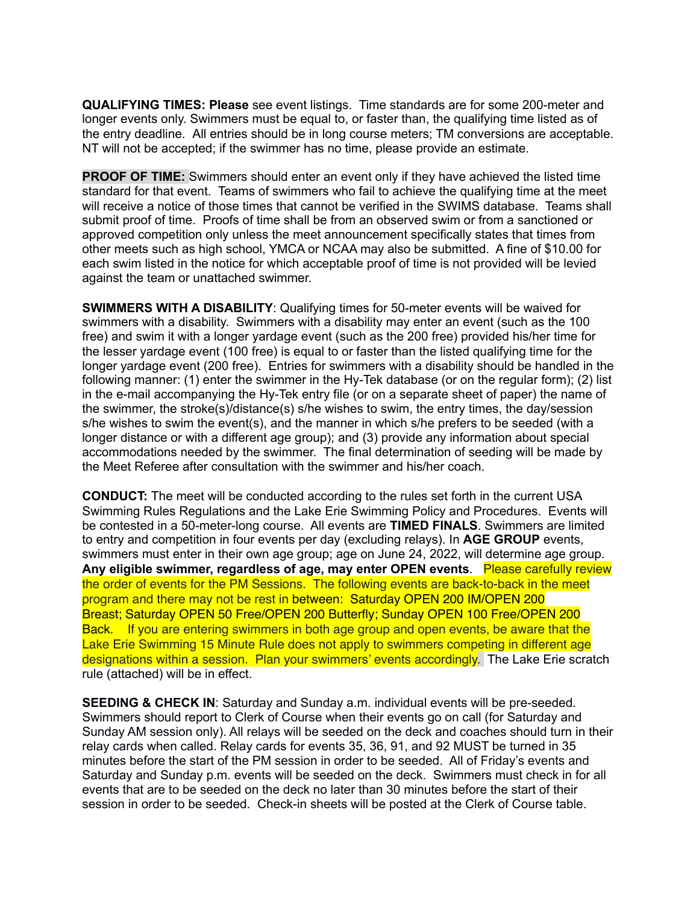**QUALIFYING TIMES: Please** see event listings. Time standards are for some 200-meter and longer events only. Swimmers must be equal to, or faster than, the qualifying time listed as of the entry deadline. All entries should be in long course meters; TM conversions are acceptable. NT will not be accepted; if the swimmer has no time, please provide an estimate.

**PROOF OF TIME:** Swimmers should enter an event only if they have achieved the listed time standard for that event. Teams of swimmers who fail to achieve the qualifying time at the meet will receive a notice of those times that cannot be verified in the SWIMS database. Teams shall submit proof of time. Proofs of time shall be from an observed swim or from a sanctioned or approved competition only unless the meet announcement specifically states that times from other meets such as high school, YMCA or NCAA may also be submitted. A fine of \$10.00 for each swim listed in the notice for which acceptable proof of time is not provided will be levied against the team or unattached swimmer.

**SWIMMERS WITH A DISABILITY**: Qualifying times for 50-meter events will be waived for swimmers with a disability. Swimmers with a disability may enter an event (such as the 100 free) and swim it with a longer yardage event (such as the 200 free) provided his/her time for the lesser yardage event (100 free) is equal to or faster than the listed qualifying time for the longer yardage event (200 free). Entries for swimmers with a disability should be handled in the following manner: (1) enter the swimmer in the Hy-Tek database (or on the regular form); (2) list in the e-mail accompanying the Hy-Tek entry file (or on a separate sheet of paper) the name of the swimmer, the stroke(s)/distance(s) s/he wishes to swim, the entry times, the day/session s/he wishes to swim the event(s), and the manner in which s/he prefers to be seeded (with a longer distance or with a different age group); and (3) provide any information about special accommodations needed by the swimmer. The final determination of seeding will be made by the Meet Referee after consultation with the swimmer and his/her coach.

**CONDUCT:** The meet will be conducted according to the rules set forth in the current USA Swimming Rules Regulations and the Lake Erie Swimming Policy and Procedures. Events will be contested in a 50-meter-long course. All events are **TIMED FINALS**. Swimmers are limited to entry and competition in four events per day (excluding relays). In **AGE GROUP** events, swimmers must enter in their own age group; age on June 24, 2022, will determine age group. **Any eligible swimmer, regardless of age, may enter OPEN events**. Please carefully review the order of events for the PM Sessions. The following events are back-to-back in the meet program and there may not be rest in between: Saturday OPEN 200 IM/OPEN 200 Breast; Saturday OPEN 50 Free/OPEN 200 Butterfly; Sunday OPEN 100 Free/OPEN 200 Back. If you are entering swimmers in both age group and open events, be aware that the Lake Erie Swimming 15 Minute Rule does not apply to swimmers competing in different age designations within a session. Plan your swimmers' events accordingly. The Lake Erie scratch rule (attached) will be in effect.

**SEEDING & CHECK IN**: Saturday and Sunday a.m. individual events will be pre-seeded. Swimmers should report to Clerk of Course when their events go on call (for Saturday and Sunday AM session only). All relays will be seeded on the deck and coaches should turn in their relay cards when called. Relay cards for events 35, 36, 91, and 92 MUST be turned in 35 minutes before the start of the PM session in order to be seeded. All of Friday's events and Saturday and Sunday p.m. events will be seeded on the deck. Swimmers must check in for all events that are to be seeded on the deck no later than 30 minutes before the start of their session in order to be seeded. Check-in sheets will be posted at the Clerk of Course table.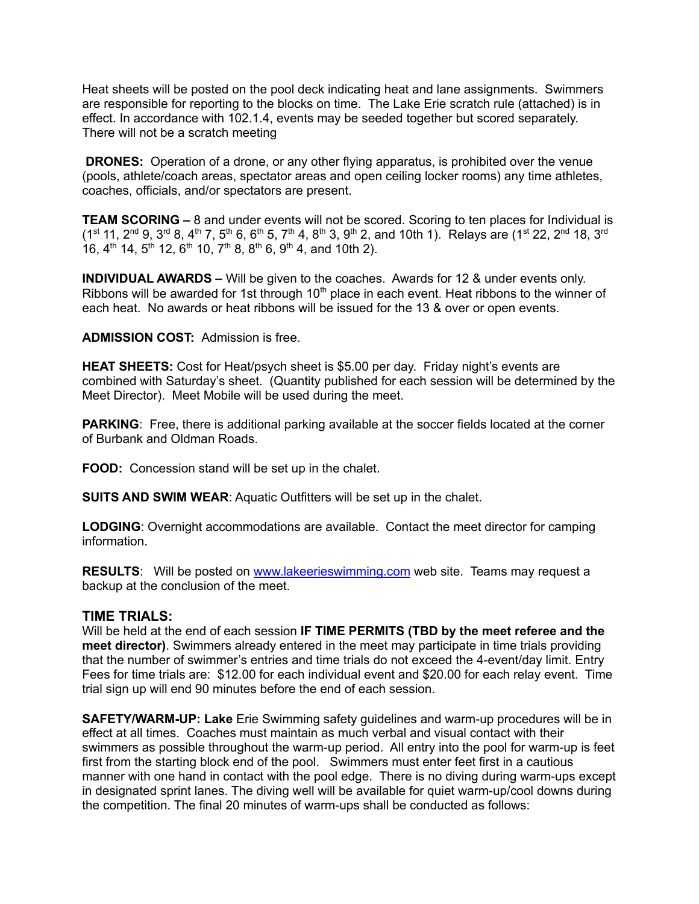Heat sheets will be posted on the pool deck indicating heat and lane assignments. Swimmers are responsible for reporting to the blocks on time. The Lake Erie scratch rule (attached) is in effect. In accordance with 102.1.4, events may be seeded together but scored separately. There will not be a scratch meeting

**DRONES:** Operation of a drone, or any other flying apparatus, is prohibited over the venue (pools, athlete/coach areas, spectator areas and open ceiling locker rooms) any time athletes, coaches, officials, and/or spectators are present.

**TEAM SCORING –** 8 and under events will not be scored. Scoring to ten places for Individual is  $(1^{st} 11, 2^{nd} 9, 3^{rd} 8, 4^{th} 7, 5^{th} 6, 6^{th} 5, 7^{th} 4, 8^{th} 3, 9^{th} 2,$  and 10th 1). Relays are (1<sup>st</sup> 22, 2<sup>nd</sup> 18, 3<sup>rd</sup> 16,  $4^{\text{th}}$  14,  $5^{\text{th}}$  12,  $6^{\text{th}}$  10,  $7^{\text{th}}$  8,  $8^{\text{th}}$  6,  $9^{\text{th}}$  4, and 10th 2).

**INDIVIDUAL AWARDS –** Will be given to the coaches. Awards for 12 & under events only. Ribbons will be awarded for 1st through  $10<sup>th</sup>$  place in each event. Heat ribbons to the winner of each heat. No awards or heat ribbons will be issued for the 13 & over or open events.

**ADMISSION COST:** Admission is free.

**HEAT SHEETS:** Cost for Heat/psych sheet is \$5.00 per day. Friday night's events are combined with Saturday's sheet. (Quantity published for each session will be determined by the Meet Director). Meet Mobile will be used during the meet.

**PARKING:** Free, there is additional parking available at the soccer fields located at the corner of Burbank and Oldman Roads.

**FOOD:** Concession stand will be set up in the chalet.

**SUITS AND SWIM WEAR**: Aquatic Outfitters will be set up in the chalet.

**LODGING**: Overnight accommodations are available. Contact the meet director for camping information.

**RESULTS**: Will be posted on www.lakeerieswimming.com web site. Teams may request a backup at the conclusion of the meet.

### **TIME TRIALS:**

Will be held at the end of each session **IF TIME PERMITS (TBD by the meet referee and the meet director)**. Swimmers already entered in the meet may participate in time trials providing that the number of swimmer's entries and time trials do not exceed the 4-event/day limit. Entry Fees for time trials are: \$12.00 for each individual event and \$20.00 for each relay event. Time trial sign up will end 90 minutes before the end of each session.

**SAFETY/WARM-UP: Lake** Erie Swimming safety guidelines and warm-up procedures will be in effect at all times. Coaches must maintain as much verbal and visual contact with their swimmers as possible throughout the warm-up period. All entry into the pool for warm-up is feet first from the starting block end of the pool. Swimmers must enter feet first in a cautious manner with one hand in contact with the pool edge. There is no diving during warm-ups except in designated sprint lanes. The diving well will be available for quiet warm-up/cool downs during the competition. The final 20 minutes of warm-ups shall be conducted as follows: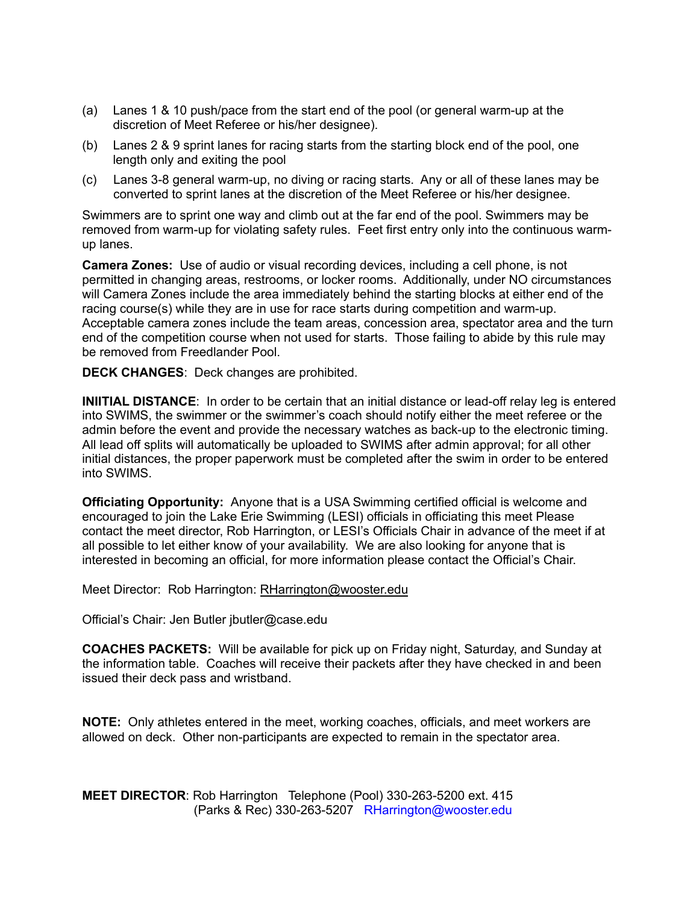- (a) Lanes 1 & 10 push/pace from the start end of the pool (or general warm-up at the discretion of Meet Referee or his/her designee).
- (b) Lanes 2 & 9 sprint lanes for racing starts from the starting block end of the pool, one length only and exiting the pool
- (c) Lanes 3-8 general warm-up, no diving or racing starts. Any or all of these lanes may be converted to sprint lanes at the discretion of the Meet Referee or his/her designee.

Swimmers are to sprint one way and climb out at the far end of the pool. Swimmers may be removed from warm-up for violating safety rules. Feet first entry only into the continuous warmup lanes.

**Camera Zones:** Use of audio or visual recording devices, including a cell phone, is not permitted in changing areas, restrooms, or locker rooms. Additionally, under NO circumstances will Camera Zones include the area immediately behind the starting blocks at either end of the racing course(s) while they are in use for race starts during competition and warm-up. Acceptable camera zones include the team areas, concession area, spectator area and the turn end of the competition course when not used for starts. Those failing to abide by this rule may be removed from Freedlander Pool.

**DECK CHANGES**: Deck changes are prohibited.

**INIITIAL DISTANCE**: In order to be certain that an initial distance or lead-off relay leg is entered into SWIMS, the swimmer or the swimmer's coach should notify either the meet referee or the admin before the event and provide the necessary watches as back-up to the electronic timing. All lead off splits will automatically be uploaded to SWIMS after admin approval; for all other initial distances, the proper paperwork must be completed after the swim in order to be entered into SWIMS.

**Officiating Opportunity:** Anyone that is a USA Swimming certified official is welcome and encouraged to join the Lake Erie Swimming (LESI) officials in officiating this meet Please contact the meet director, Rob Harrington, or LESI's Officials Chair in advance of the meet if at all possible to let either know of your availability. We are also looking for anyone that is interested in becoming an official, for more information please contact the Official's Chair.

Meet Director: Rob Harrington: RHarrington@wooster.edu

Official's Chair: Jen Butler jbutler@case.edu

**COACHES PACKETS:** Will be available for pick up on Friday night, Saturday, and Sunday at the information table. Coaches will receive their packets after they have checked in and been issued their deck pass and wristband.

**NOTE:** Only athletes entered in the meet, working coaches, officials, and meet workers are allowed on deck. Other non-participants are expected to remain in the spectator area.

**MEET DIRECTOR**: Rob Harrington Telephone (Pool) 330-263-5200 ext. 415 (Parks & Rec) 330-263-5207 RHarrington@wooster.edu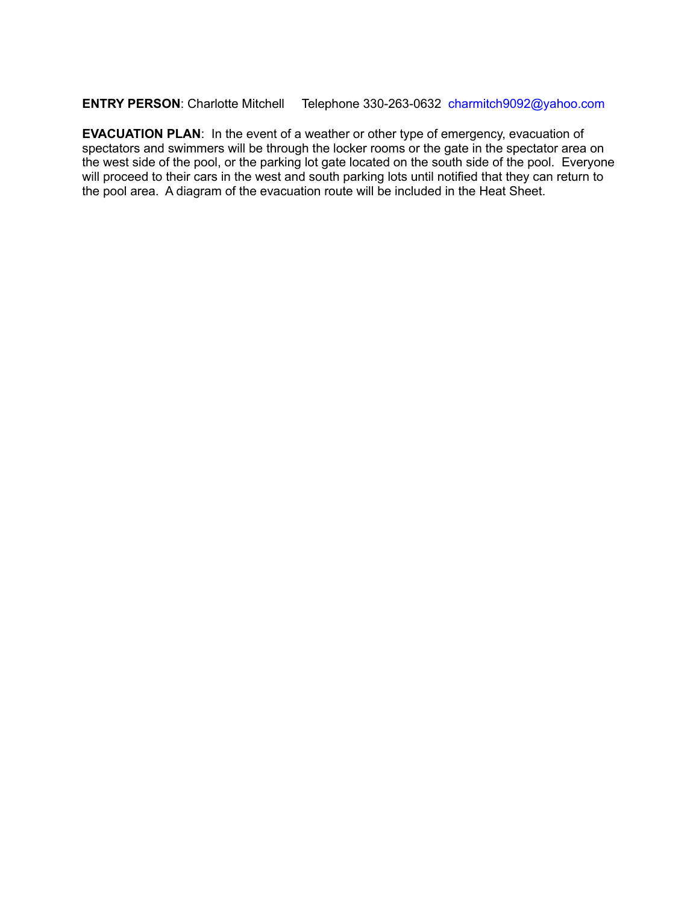## **ENTRY PERSON**: Charlotte Mitchell Telephone 330-263-0632 charmitch9092@yahoo.com

**EVACUATION PLAN**: In the event of a weather or other type of emergency, evacuation of spectators and swimmers will be through the locker rooms or the gate in the spectator area on the west side of the pool, or the parking lot gate located on the south side of the pool. Everyone will proceed to their cars in the west and south parking lots until notified that they can return to the pool area. A diagram of the evacuation route will be included in the Heat Sheet.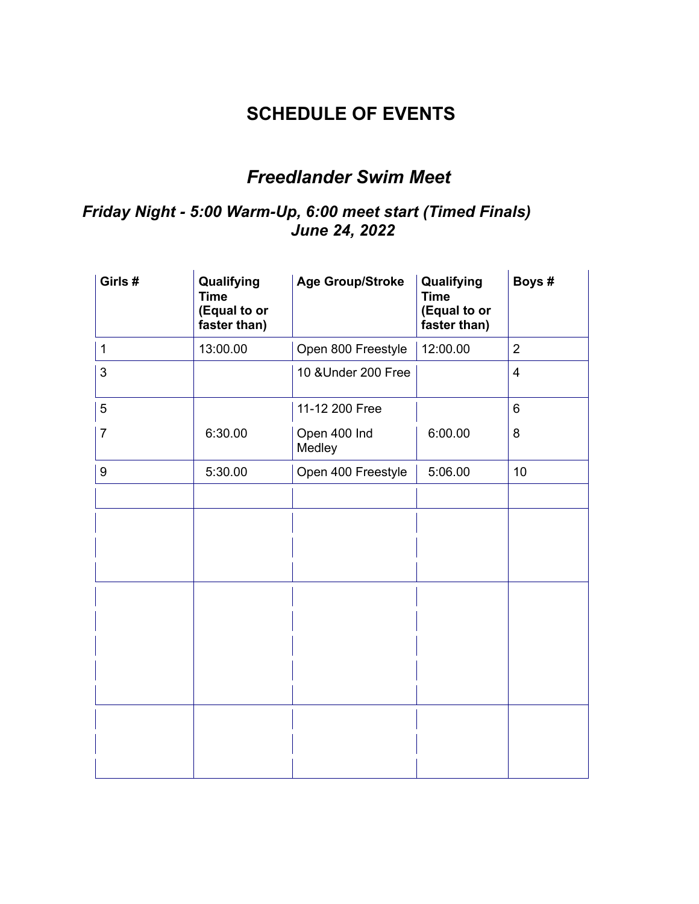## **SCHEDULE OF EVENTS**

# *Freedlander Swim Meet*

## *Friday Night - 5:00 Warm-Up, 6:00 meet start (Timed Finals) June 24, 2022*

| Girls #        | Qualifying<br><b>Time</b><br>(Equal to or<br>faster than) | <b>Age Group/Stroke</b> | Qualifying<br><b>Time</b><br>(Equal to or<br>faster than) | Boys #         |
|----------------|-----------------------------------------------------------|-------------------------|-----------------------------------------------------------|----------------|
| $\mathbf{1}$   | 13:00.00                                                  | Open 800 Freestyle      | 12:00.00                                                  | $\overline{2}$ |
| 3              |                                                           | 10 & Under 200 Free     |                                                           | $\overline{4}$ |
| 5              |                                                           | 11-12 200 Free          |                                                           | 6              |
| $\overline{7}$ | 6:30.00                                                   | Open 400 Ind<br>Medley  | 6:00.00                                                   | 8              |
| 9              | 5:30.00                                                   | Open 400 Freestyle      | 5:06.00                                                   | 10             |
|                |                                                           |                         |                                                           |                |
|                |                                                           |                         |                                                           |                |
|                |                                                           |                         |                                                           |                |
|                |                                                           |                         |                                                           |                |
|                |                                                           |                         |                                                           |                |
|                |                                                           |                         |                                                           |                |
|                |                                                           |                         |                                                           |                |
|                |                                                           |                         |                                                           |                |
|                |                                                           |                         |                                                           |                |
|                |                                                           |                         |                                                           |                |
|                |                                                           |                         |                                                           |                |
|                |                                                           |                         |                                                           |                |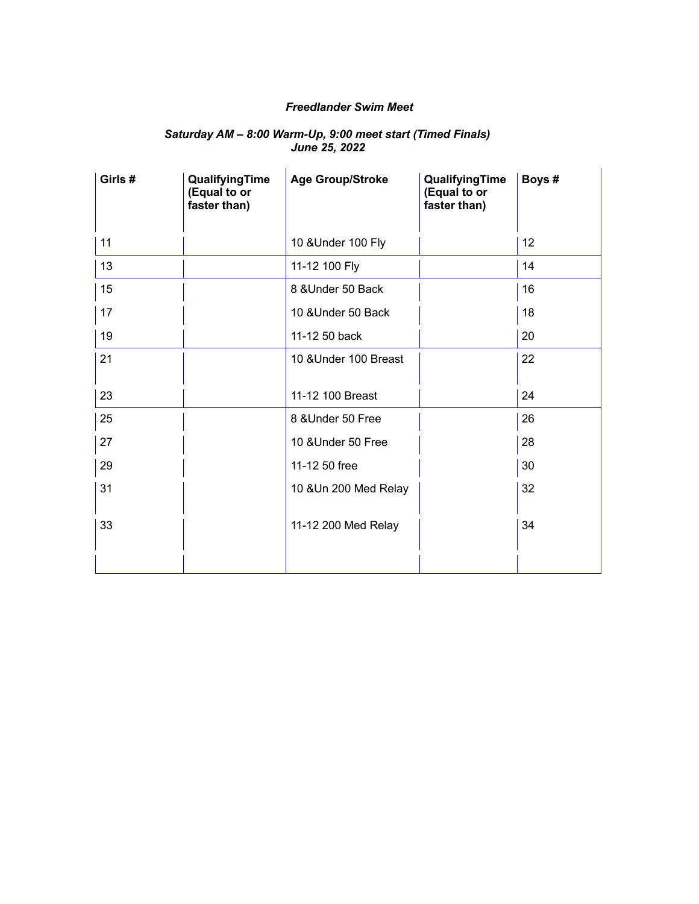## *Freedlander Swim Meet*

#### *Saturday AM – 8:00 Warm-Up, 9:00 meet start (Timed Finals) June 25, 2022*

| Girls # | QualifyingTime<br>(Equal to or<br>faster than) | <b>Age Group/Stroke</b> | QualifyingTime<br>(Equal to or<br>faster than) | Boys # |
|---------|------------------------------------------------|-------------------------|------------------------------------------------|--------|
| 11      |                                                | 10 & Under 100 Fly      |                                                | 12     |
| 13      |                                                | 11-12 100 Fly           |                                                | 14     |
| 15      |                                                | 8 & Under 50 Back       |                                                | 16     |
| 17      |                                                | 10 & Under 50 Back      |                                                | 18     |
| 19      |                                                | 11-12 50 back           |                                                | 20     |
| 21      |                                                | 10 & Under 100 Breast   |                                                | 22     |
| 23      |                                                | 11-12 100 Breast        |                                                | 24     |
| 25      |                                                | 8 & Under 50 Free       |                                                | 26     |
| 27      |                                                | 10 & Under 50 Free      |                                                | 28     |
| 29      |                                                | 11-12 50 free           |                                                | 30     |
| 31      |                                                | 10 & Un 200 Med Relay   |                                                | 32     |
| 33      |                                                | 11-12 200 Med Relay     |                                                | 34     |
|         |                                                |                         |                                                |        |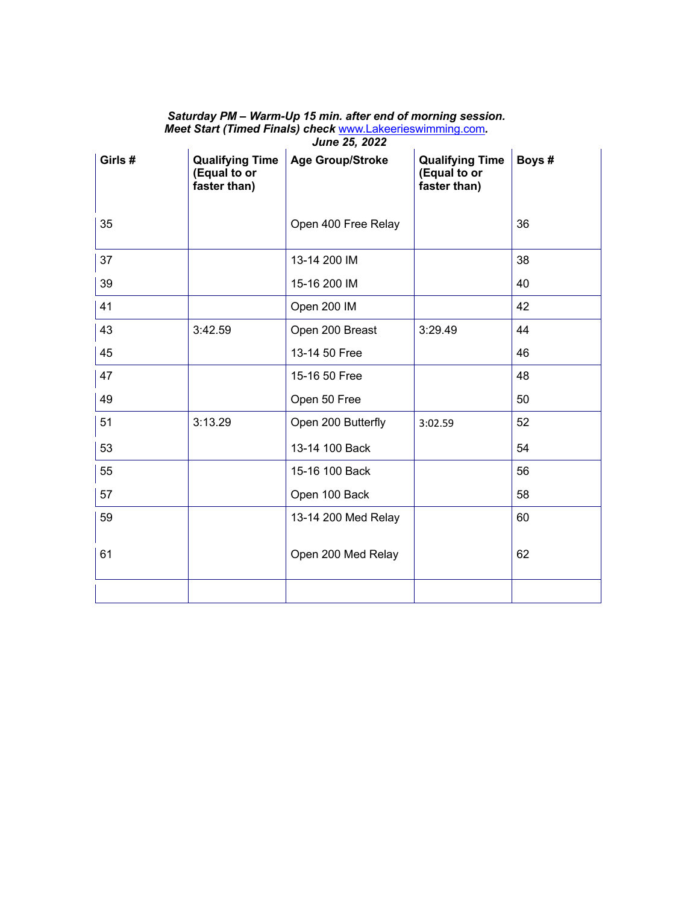| Girls # | <b>Qualifying Time</b><br>(Equal to or<br>faster than) | JUIIT LJ, LULL<br><b>Age Group/Stroke</b> | <b>Qualifying Time</b><br>(Equal to or<br>faster than) | Boys# |
|---------|--------------------------------------------------------|-------------------------------------------|--------------------------------------------------------|-------|
| 35      |                                                        | Open 400 Free Relay                       |                                                        | 36    |
| 37      |                                                        | 13-14 200 IM                              |                                                        | 38    |
| 39      |                                                        | 15-16 200 IM                              |                                                        | 40    |
| 41      |                                                        | Open 200 IM                               |                                                        | 42    |
| 43      | 3:42.59                                                | Open 200 Breast                           | 3:29.49                                                | 44    |
| 45      |                                                        | 13-14 50 Free                             |                                                        | 46    |
| 47      |                                                        | 15-16 50 Free                             |                                                        | 48    |
| 49      |                                                        | Open 50 Free                              |                                                        | 50    |
| 51      | 3:13.29                                                | Open 200 Butterfly                        | 3:02.59                                                | 52    |
| 53      |                                                        | 13-14 100 Back                            |                                                        | 54    |
| 55      |                                                        | 15-16 100 Back                            |                                                        | 56    |
| 57      |                                                        | Open 100 Back                             |                                                        | 58    |
| 59      |                                                        | 13-14 200 Med Relay                       |                                                        | 60    |
| 61      |                                                        | Open 200 Med Relay                        |                                                        | 62    |
|         |                                                        |                                           |                                                        |       |

*Saturday PM – Warm-Up 15 min. after end of morning session. Meet Start (Timed Finals) check* www.Lakeerieswimming.com*. June 25, 2022*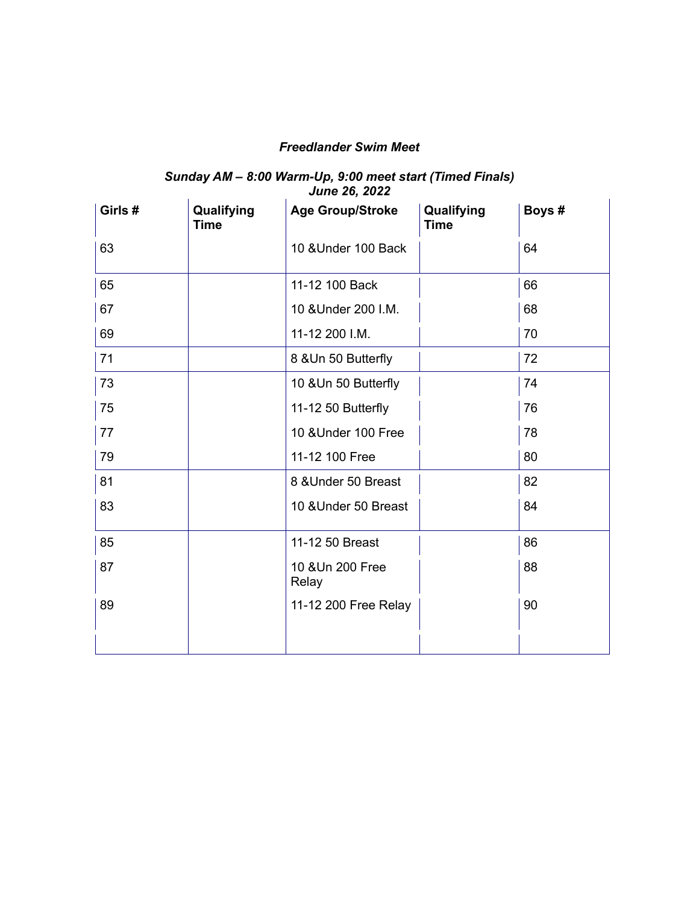## *Freedlander Swim Meet*

#### *Sunday AM – 8:00 Warm-Up, 9:00 meet start (Timed Finals) June 26, 2022*

| Girls # | Qualifying<br>Time | <b>Age Group/Stroke</b>   | Qualifying<br>Time | Boys # |
|---------|--------------------|---------------------------|--------------------|--------|
| 63      |                    | 10 & Under 100 Back       |                    | 64     |
| 65      |                    | 11-12 100 Back            |                    | 66     |
| 67      |                    | 10 & Under 200 I.M.       |                    | 68     |
| 69      |                    | 11-12 200 I.M.            |                    | 70     |
| 71      |                    | 8 & Un 50 Butterfly       |                    | 72     |
| 73      |                    | 10 & Un 50 Butterfly      |                    | 74     |
| 75      |                    | 11-12 50 Butterfly        |                    | 76     |
| 77      |                    | 10 & Under 100 Free       |                    | 78     |
| 79      |                    | 11-12 100 Free            |                    | 80     |
| 81      |                    | 8 & Under 50 Breast       |                    | 82     |
| 83      |                    | 10 & Under 50 Breast      |                    | 84     |
| 85      |                    | 11-12 50 Breast           |                    | 86     |
| 87      |                    | 10 & Un 200 Free<br>Relay |                    | 88     |
| 89      |                    | 11-12 200 Free Relay      |                    | 90     |
|         |                    |                           |                    |        |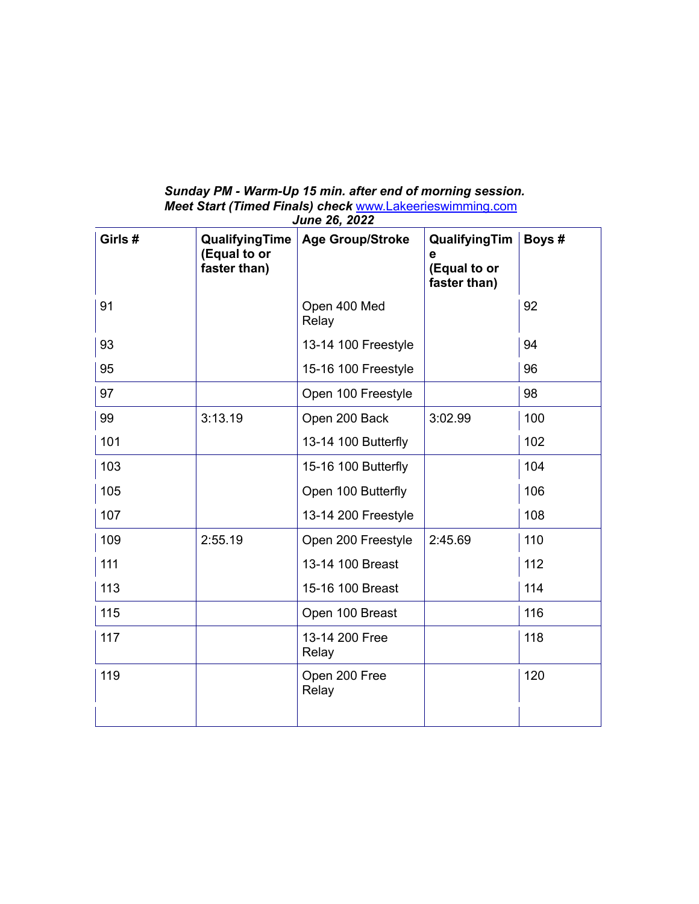### *Sunday PM - Warm-Up 15 min. after end of morning session. Meet Start (Timed Finals) check* www.Lakeerieswimming.com *June 26, 2022*

| Girls # | QualifyingTime<br>(Equal to or<br>faster than) | <b>Age Group/Stroke</b> | QualifyingTim<br>$\mathbf e$<br>(Equal to or<br>faster than) | Boys # |
|---------|------------------------------------------------|-------------------------|--------------------------------------------------------------|--------|
| 91      |                                                | Open 400 Med<br>Relay   |                                                              | 92     |
| 93      |                                                | 13-14 100 Freestyle     |                                                              | 94     |
| 95      |                                                | 15-16 100 Freestyle     |                                                              | 96     |
| 97      |                                                | Open 100 Freestyle      |                                                              | 98     |
| 99      | 3:13.19                                        | Open 200 Back           | 3:02.99                                                      | 100    |
| 101     |                                                | 13-14 100 Butterfly     |                                                              | 102    |
| 103     |                                                | 15-16 100 Butterfly     |                                                              | 104    |
| 105     |                                                | Open 100 Butterfly      |                                                              | 106    |
| 107     |                                                | 13-14 200 Freestyle     |                                                              | 108    |
| 109     | 2:55.19                                        | Open 200 Freestyle      | 2:45.69                                                      | 110    |
| 111     |                                                | 13-14 100 Breast        |                                                              | 112    |
| 113     |                                                | 15-16 100 Breast        |                                                              | 114    |
| 115     |                                                | Open 100 Breast         |                                                              | 116    |
| 117     |                                                | 13-14 200 Free<br>Relay |                                                              | 118    |
| 119     |                                                | Open 200 Free<br>Relay  |                                                              | 120    |
|         |                                                |                         |                                                              |        |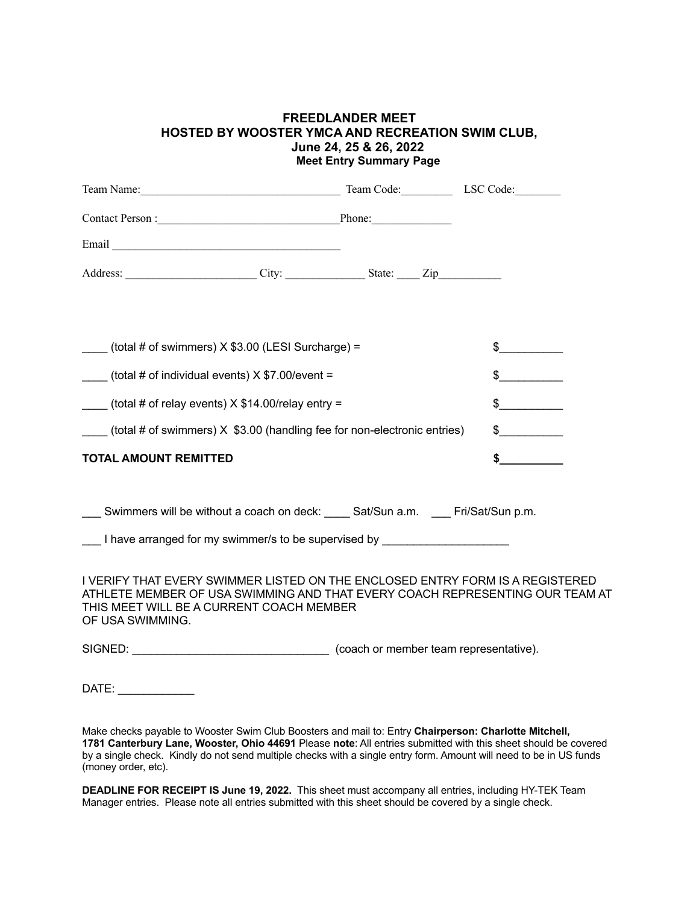### **FREEDLANDER MEET HOSTED BY WOOSTER YMCA AND RECREATION SWIM CLUB, June 24, 25 & 26, 2022 Meet Entry Summary Page**

|                                                                                                                                                                                                                                                                                                                                                                                             |                                                                 | Team Name: LSC Code: LSC Code: LSC Code:                                                            |                                                                                                                                                               |
|---------------------------------------------------------------------------------------------------------------------------------------------------------------------------------------------------------------------------------------------------------------------------------------------------------------------------------------------------------------------------------------------|-----------------------------------------------------------------|-----------------------------------------------------------------------------------------------------|---------------------------------------------------------------------------------------------------------------------------------------------------------------|
|                                                                                                                                                                                                                                                                                                                                                                                             |                                                                 | Contact Person : Phone: Phone:                                                                      |                                                                                                                                                               |
|                                                                                                                                                                                                                                                                                                                                                                                             |                                                                 |                                                                                                     |                                                                                                                                                               |
|                                                                                                                                                                                                                                                                                                                                                                                             |                                                                 | Address: City: City: State: Zip                                                                     |                                                                                                                                                               |
|                                                                                                                                                                                                                                                                                                                                                                                             |                                                                 |                                                                                                     |                                                                                                                                                               |
|                                                                                                                                                                                                                                                                                                                                                                                             | $\frac{1}{1}$ (total # of swimmers) X \$3.00 (LESI Surcharge) = |                                                                                                     | $\frac{1}{2}$                                                                                                                                                 |
|                                                                                                                                                                                                                                                                                                                                                                                             | $\frac{1}{2}$ (total # of individual events) X \$7.00/event =   |                                                                                                     | $\frac{1}{2}$                                                                                                                                                 |
| (total # of relay events) $X $14.00$ /relay entry =                                                                                                                                                                                                                                                                                                                                         | $\frac{1}{2}$                                                   |                                                                                                     |                                                                                                                                                               |
|                                                                                                                                                                                                                                                                                                                                                                                             |                                                                 | $\overline{\phantom{a}}$ (total # of swimmers) $X$ \$3.00 (handling fee for non-electronic entries) | $\frac{1}{2}$                                                                                                                                                 |
| <b>TOTAL AMOUNT REMITTED</b>                                                                                                                                                                                                                                                                                                                                                                |                                                                 |                                                                                                     | $\sim$                                                                                                                                                        |
|                                                                                                                                                                                                                                                                                                                                                                                             |                                                                 | ___ Swimmers will be without a coach on deck: ____ Sat/Sun a.m. ___ Fri/Sat/Sun p.m.                |                                                                                                                                                               |
|                                                                                                                                                                                                                                                                                                                                                                                             |                                                                 | I have arranged for my swimmer/s to be supervised by ___________________________                    |                                                                                                                                                               |
| OF USA SWIMMING.                                                                                                                                                                                                                                                                                                                                                                            | THIS MEET WILL BE A CURRENT COACH MEMBER                        |                                                                                                     | I VERIFY THAT EVERY SWIMMER LISTED ON THE ENCLOSED ENTRY FORM IS A REGISTERED<br>ATHLETE MEMBER OF USA SWIMMING AND THAT EVERY COACH REPRESENTING OUR TEAM AT |
|                                                                                                                                                                                                                                                                                                                                                                                             |                                                                 |                                                                                                     |                                                                                                                                                               |
| $\begin{picture}(20,10) \put(0,0){\dashbox{0.5}(10,0){ }} \put(15,0){\circle{10}} \put(15,0){\circle{10}} \put(15,0){\circle{10}} \put(15,0){\circle{10}} \put(15,0){\circle{10}} \put(15,0){\circle{10}} \put(15,0){\circle{10}} \put(15,0){\circle{10}} \put(15,0){\circle{10}} \put(15,0){\circle{10}} \put(15,0){\circle{10}} \put(15,0){\circle{10}} \put(15,0){\circle{10}} \put(15,$ |                                                                 |                                                                                                     |                                                                                                                                                               |

Make checks payable to Wooster Swim Club Boosters and mail to: Entry **Chairperson: Charlotte Mitchell, 1781 Canterbury Lane, Wooster, Ohio 44691** Please **note**: All entries submitted with this sheet should be covered by a single check. Kindly do not send multiple checks with a single entry form. Amount will need to be in US funds (money order, etc).

**DEADLINE FOR RECEIPT IS June 19, 2022.** This sheet must accompany all entries, including HY-TEK Team Manager entries. Please note all entries submitted with this sheet should be covered by a single check.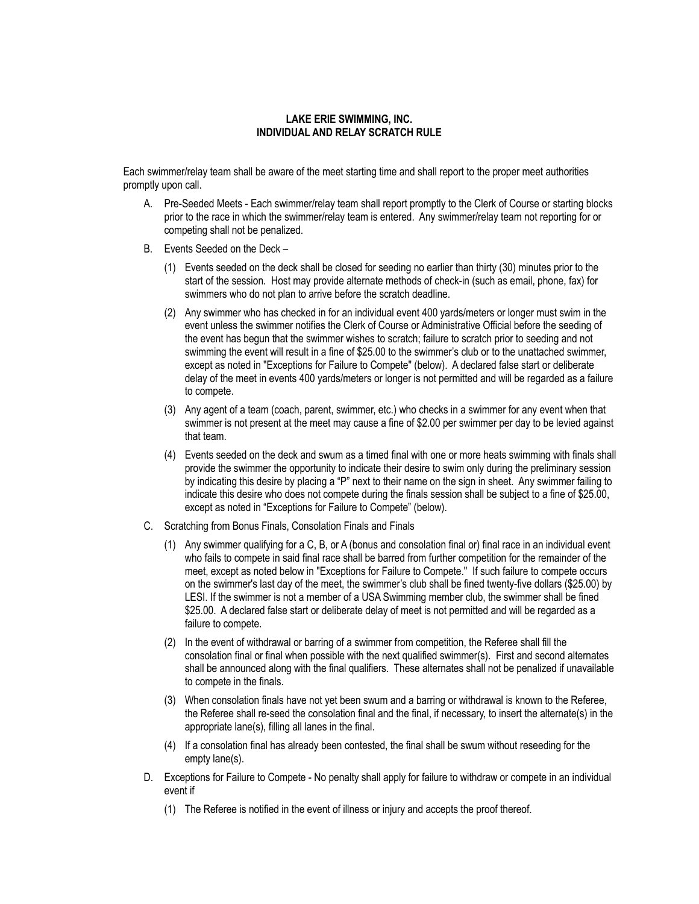#### **LAKE ERIE SWIMMING, INC. INDIVIDUAL AND RELAY SCRATCH RULE**

Each swimmer/relay team shall be aware of the meet starting time and shall report to the proper meet authorities promptly upon call.

- A. Pre-Seeded Meets Each swimmer/relay team shall report promptly to the Clerk of Course or starting blocks prior to the race in which the swimmer/relay team is entered. Any swimmer/relay team not reporting for or competing shall not be penalized.
- B. Events Seeded on the Deck
	- (1) Events seeded on the deck shall be closed for seeding no earlier than thirty (30) minutes prior to the start of the session. Host may provide alternate methods of check-in (such as email, phone, fax) for swimmers who do not plan to arrive before the scratch deadline.
	- (2) Any swimmer who has checked in for an individual event 400 yards/meters or longer must swim in the event unless the swimmer notifies the Clerk of Course or Administrative Official before the seeding of the event has begun that the swimmer wishes to scratch; failure to scratch prior to seeding and not swimming the event will result in a fine of \$25.00 to the swimmer's club or to the unattached swimmer, except as noted in "Exceptions for Failure to Compete" (below). A declared false start or deliberate delay of the meet in events 400 yards/meters or longer is not permitted and will be regarded as a failure to compete.
	- (3) Any agent of a team (coach, parent, swimmer, etc.) who checks in a swimmer for any event when that swimmer is not present at the meet may cause a fine of \$2.00 per swimmer per day to be levied against that team.
	- (4) Events seeded on the deck and swum as a timed final with one or more heats swimming with finals shall provide the swimmer the opportunity to indicate their desire to swim only during the preliminary session by indicating this desire by placing a "P" next to their name on the sign in sheet. Any swimmer failing to indicate this desire who does not compete during the finals session shall be subject to a fine of \$25.00, except as noted in "Exceptions for Failure to Compete" (below).
- C. Scratching from Bonus Finals, Consolation Finals and Finals
	- (1) Any swimmer qualifying for a C, B, or A (bonus and consolation final or) final race in an individual event who fails to compete in said final race shall be barred from further competition for the remainder of the meet, except as noted below in "Exceptions for Failure to Compete." If such failure to compete occurs on the swimmer's last day of the meet, the swimmer's club shall be fined twenty-five dollars (\$25.00) by LESI. If the swimmer is not a member of a USA Swimming member club, the swimmer shall be fined \$25.00. A declared false start or deliberate delay of meet is not permitted and will be regarded as a failure to compete.
	- (2) In the event of withdrawal or barring of a swimmer from competition, the Referee shall fill the consolation final or final when possible with the next qualified swimmer(s). First and second alternates shall be announced along with the final qualifiers. These alternates shall not be penalized if unavailable to compete in the finals.
	- (3) When consolation finals have not yet been swum and a barring or withdrawal is known to the Referee, the Referee shall re-seed the consolation final and the final, if necessary, to insert the alternate(s) in the appropriate lane(s), filling all lanes in the final.
	- (4) If a consolation final has already been contested, the final shall be swum without reseeding for the empty lane(s).
- D. Exceptions for Failure to Compete No penalty shall apply for failure to withdraw or compete in an individual event if
	- (1) The Referee is notified in the event of illness or injury and accepts the proof thereof.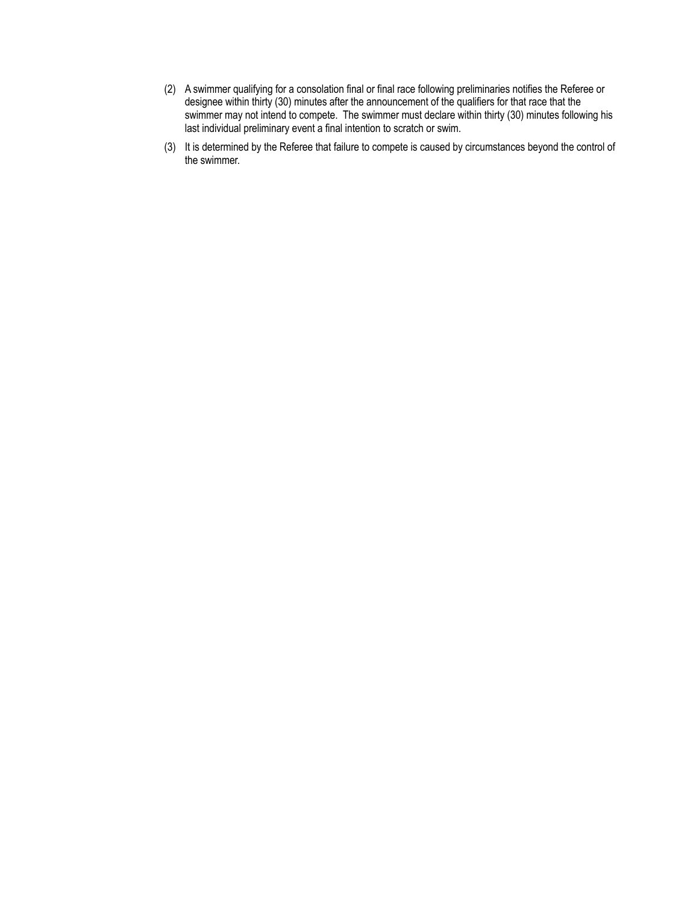- (2) A swimmer qualifying for a consolation final or final race following preliminaries notifies the Referee or designee within thirty (30) minutes after the announcement of the qualifiers for that race that the swimmer may not intend to compete. The swimmer must declare within thirty (30) minutes following his last individual preliminary event a final intention to scratch or swim.
- (3) It is determined by the Referee that failure to compete is caused by circumstances beyond the control of the swimmer.